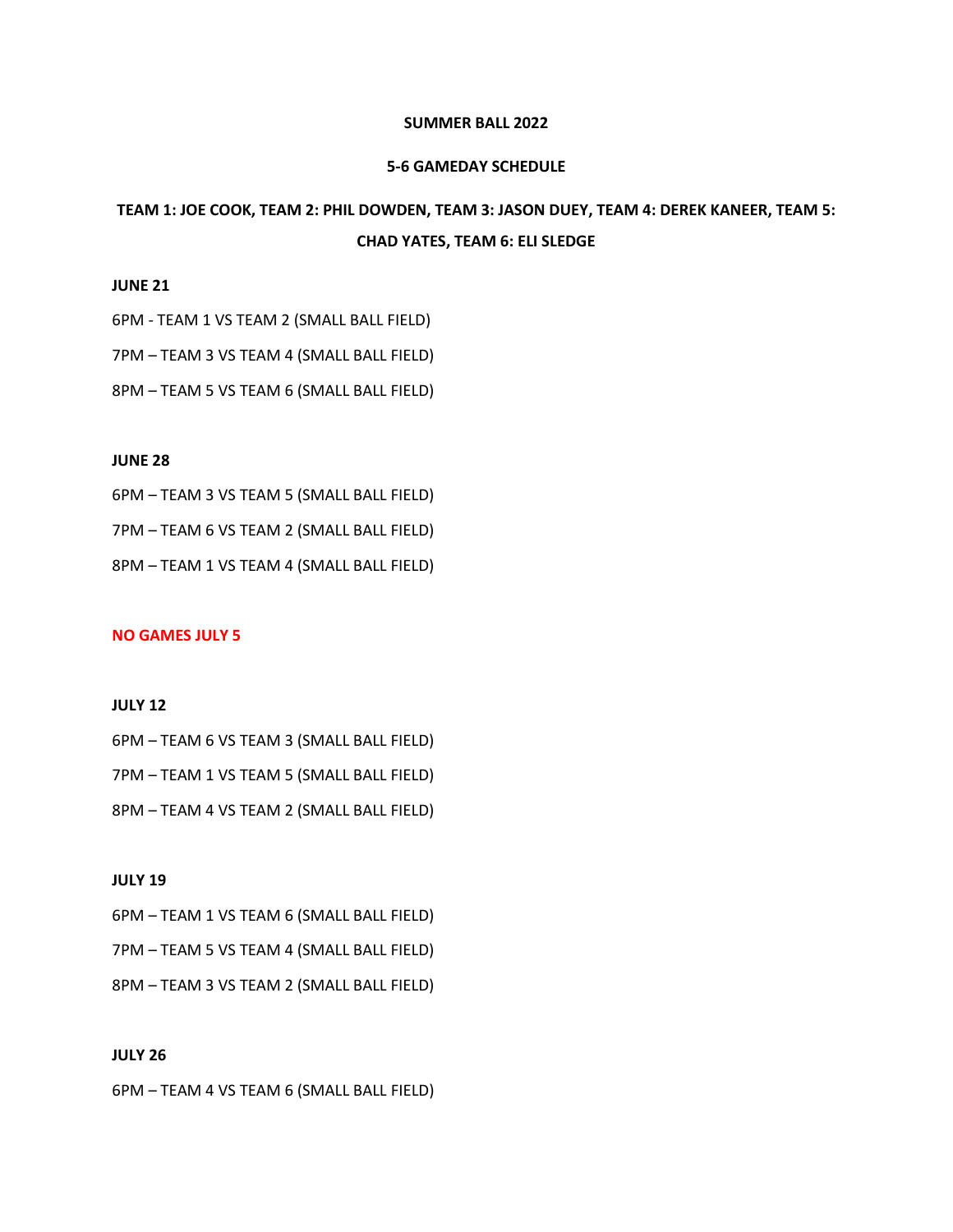#### **SUMMER BALL 2022**

#### **5-6 GAMEDAY SCHEDULE**

# **TEAM 1: JOE COOK, TEAM 2: PHIL DOWDEN, TEAM 3: JASON DUEY, TEAM 4: DEREK KANEER, TEAM 5: CHAD YATES, TEAM 6: ELI SLEDGE**

### **JUNE 21**

6PM - TEAM 1 VS TEAM 2 (SMALL BALL FIELD)

7PM – TEAM 3 VS TEAM 4 (SMALL BALL FIELD)

8PM – TEAM 5 VS TEAM 6 (SMALL BALL FIELD)

#### **JUNE 28**

6PM – TEAM 3 VS TEAM 5 (SMALL BALL FIELD)

7PM – TEAM 6 VS TEAM 2 (SMALL BALL FIELD)

8PM – TEAM 1 VS TEAM 4 (SMALL BALL FIELD)

#### **NO GAMES JULY 5**

## **JULY 12**

6PM – TEAM 6 VS TEAM 3 (SMALL BALL FIELD) 7PM – TEAM 1 VS TEAM 5 (SMALL BALL FIELD) 8PM – TEAM 4 VS TEAM 2 (SMALL BALL FIELD)

#### **JULY 19**

6PM – TEAM 1 VS TEAM 6 (SMALL BALL FIELD) 7PM – TEAM 5 VS TEAM 4 (SMALL BALL FIELD) 8PM – TEAM 3 VS TEAM 2 (SMALL BALL FIELD)

## **JULY 26**

6PM – TEAM 4 VS TEAM 6 (SMALL BALL FIELD)